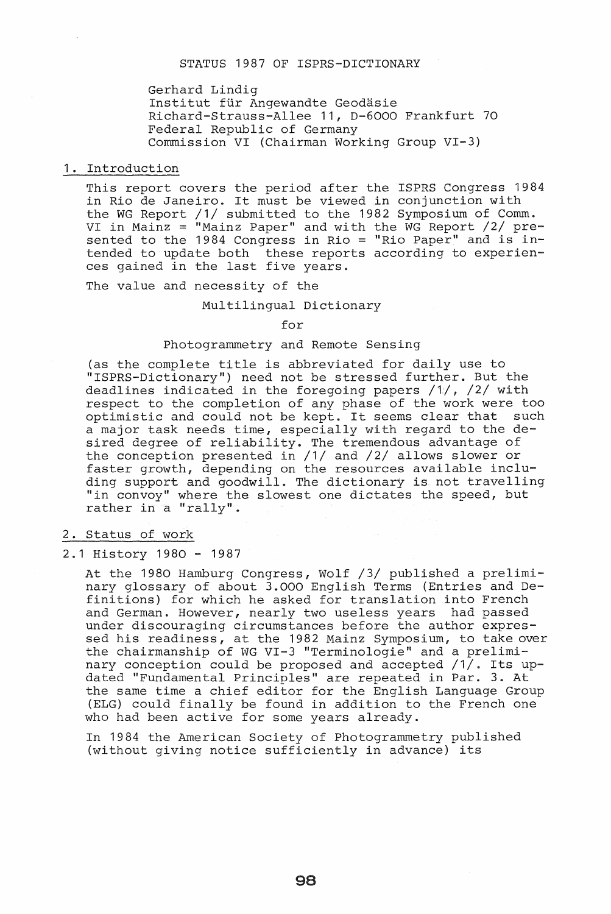Gerhard Lindig Institut für Angewandte Geodäsie Richard-Strauss-Allee 11, D-6000 Frankfurt 70 Federal Republic of Germany Commission VI (Chairman Working Group VI-3)

#### 1. Introduction

This report covers the period after the ISPRS Congress 1984 in Rio de Janeiro. It must be viewed in conjunction with the WG Report /1/ submitted to the 1982 Symposium of Comm. VI in Mainz = "Mainz Paper" and with the WG Report /2/ previ in hains thains raper and with the nonepoie, by protended to update both these reports according to experiences gained in the last five years.

The value and necessity of the

#### Multilingual Dictionary

for

#### Photogrammetry and Remote Sensing

(as the complete title is abbreviated for daily use to "ISPRS-Dictionary") need not be stressed further. But the deadlines indicated in the foregoing papers  $/1/$ ,  $/2/$  with respect to the completion of any phase of the work were too optimistic and could not be kept. It seems clear that such a major task needs time, especially with regard to the desired degree of reliability. The tremendous advantage of the conception presented in /1/ and /2/ allows slower or faster growth, depending on the resources available including support and goodwill. The dictionary is not travelling "in convoy" where the slowest one dictates the speed, but rather in a "rally".

## 2. Status of work

#### 2.1 History 1980 - 1987

At the 1980 Hamburg Congress, Wolf /3/ published a preliminary glossary of about 3.000 English Terms (Entries and Definitions) for which he asked for translation into French and German. However, nearly two useless years had passed under discouraging circumstances before the author expressed his readiness, at the 1982 Mainz Symposium, to take over the chairmanship of WG VI-3 "Terminologie" and a preliminary conception could be proposed and accepted /1/. Its updated "Fundamental Principles" are repeated in Par. 3. At the same time a chief editor for the English Language Group (ELG) could finally be found in addition to the French one who had been active for some years already.

In 1984 the American Society of Photogrammetry published (without giving notice sufficiently in advance) its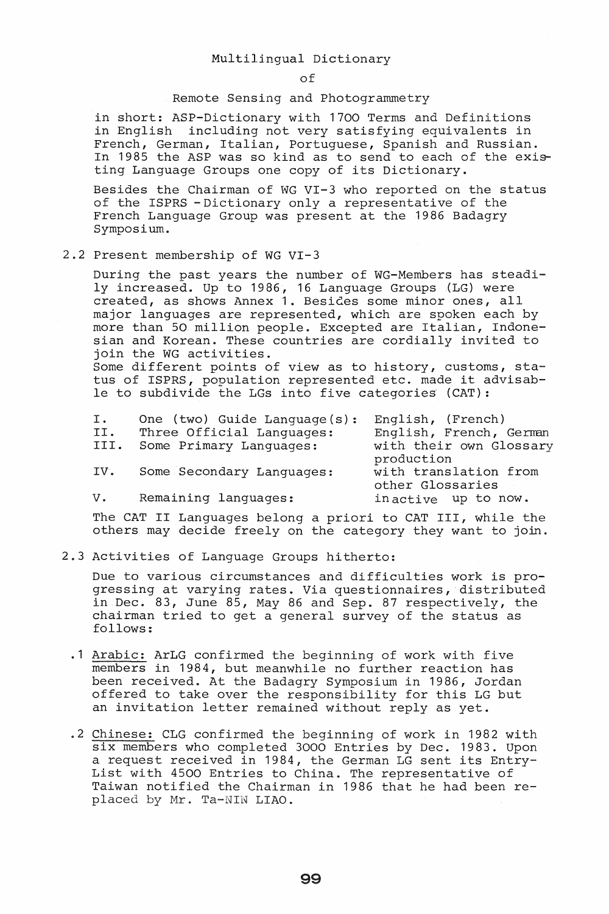## Multilingual Dictionary

of

#### Remote Sensing and Photogrammetry

in short: ASP-Dictionary with 1700 Terms and Definitions in English including not very satisfying equivalents in French, German, Italian, Portuguese, Spanish and Russian. In 1985 the ASP was so kind as to send to each of the existing Language Groups one copy of its Dictionary.

Besides the Chairman of WG VI-3 who reported on the status of the ISPRS -Dictionary only a representative of the French Language Group was present at the 1986 Badagry Symposium.

## 2.2 Present membership of WG VI-3

During the past years the number of WG-Members has steadily increased. Up to 1986, 16 Language Groups (LG) were created, as shows Annex 1. BesiGes some minor ones, all major languages are represented, which are spoken each by more than 50 million people. Excepted are Italian, Indonesian and Korean. These countries are cordially invited to join the WG activities.

Some different points of view as to history, customs, status of ISPRS, population represented etc. made it advisable to subdivide the LGs into five categories  $(CAT):$ 

| I.   | One (two) Guide Language(s): | English, (French)       |
|------|------------------------------|-------------------------|
| II.  | Three Official Languages:    | English, French, German |
| III. | Some Primary Languages:      | with their own Glossary |
|      |                              | production              |
| IV.  | Some Secondary Languages:    | with translation from   |
|      |                              | other Glossaries        |
| v.   | Remaining languages:         | inactive up to now.     |
|      |                              |                         |

The CAT II Languages belong a priori to CAT III, while the others may decide freely on the category they want to join.

## 2.3 Activities of Language Groups hitherto:

Due to various circumstances and difficulties work is progressing at varying rates. Via questionnaires, distributed in Dec. 83, June 85, May 86 and Sep. 87 respectively, the chairman tried to get a general survey of the status as follows:

- .1 Arabic: ArLG confirmed the beginning of work with five members in 1984, but meanwhile no further reaction has been received. At the Badagry Symposium in 1986, Jordan offered to take over the responsibility for this LG but an invitation letter remained without reply as yet .
- . 2 Chinese: CLG confirmed the beginning of work in 1982 with six members who completed 3000 Entries by Dec. 1983. Upon a request received in 1984, the German LG sent its Entry-List with 4500 Entries to China. The representative of Taiwan notified the Chairman in 1986 that he had been replaced by Mr. Ta-NIN LIAO.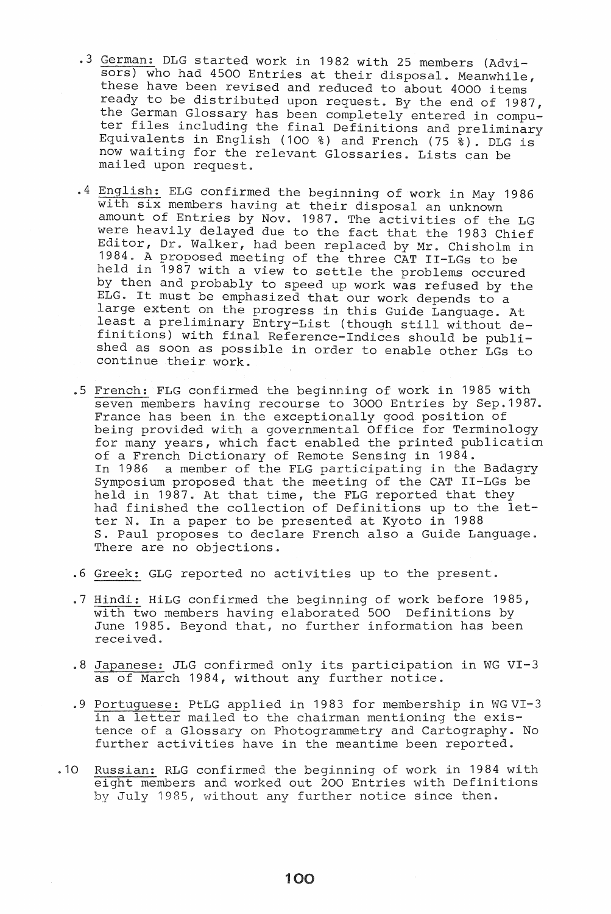- .3 German: DLG started work in 1982 with 25 members (Advisors) who had 4500 Entries at their disposal. Meanwhile, these have been revised and reduced to about 4000 items ready to be distributed upon request. By the end of 1987, the German Glossary has been completely entered in computer files including the final Definitions and preliminary Equivalents in English (100 %) and French (75 %). DLG is now waiting for the relevant Glossaries. Lists can be mailed upon request .
- . 4 English: ELG confirmed the beginning of work in May 1986 with six members having at their disposal an unknown amount of Entries by Nov. 1987. The activities of the LG were heavily delayed due to the fact that the 1983 Chief Editor, Dr. Walker, had been replaced by Mr. Chisholm in 1984. A proposed meeting of the three CAT II-LGs to be held in 1987 with a view to settle the problems occured by then and probably to speed up work was refused by the ELG. It must be emphasized that our work depends to a large extent on the progress in this Guide Language. At least a preliminary Entry-List (though still without definitions) with final Reference-Indices should be published as soon as possible in order to enable other LGs to continue their work .
- . 5 French: FLG confirmed the beginning of work in 1985 with seven members having recourse to 3000 Entries by Sep.1987. France has been in the exceptionally good position of being provided with a governmental Office for Terminology for many years, which fact enabled the printed publicatim of a French Dictionary of Remote Sensing in 1984. In 1986 a member of the FLG participating in the Badagry Symposium proposed that the meeting of the CAT II-LGs be held in 1987. At that time, the FLG reported that they had finished the collection of Definitions up to the letter N. In a paper to be presented at Kyoto in 1988 S. Paul proposes to declare French also a Guide Language. There are no objections .
- . 6 Greek: GLG reported no activities up to the present .
- . 7 Hindi: HiLG confirmed the beginning of work before 1985, with two members having elaborated 500 Definitions by June 1985. Beyond that, no further information has been received ..
- . 8 Japanese: JLG confirmed only its participation in WG VI-3 as of March 1984, without any further notice .
- .9 Portuguese: PtLG applied in 1983 for membership in WG VI-3 in a letter mailed to the chairman mentioning the existence of a Glossary on Photogrammetry and Cartography. No further activities have in the meantime been reported .
- . 10 Russian: RLG confirmed the beginning of work in 1984 with eight members and worked out 200 Entries with Definitions by July 1985, without any further notice since then.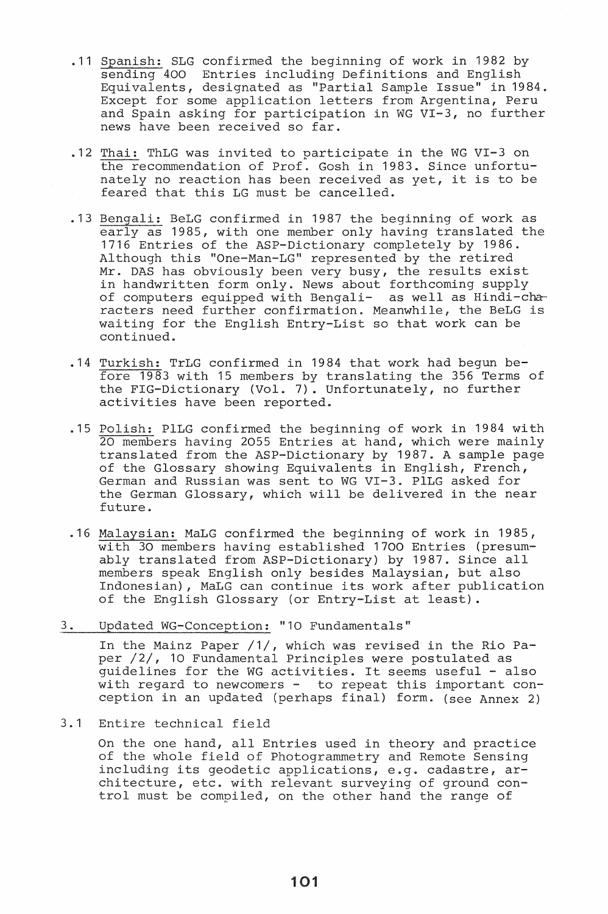- .11 Spanish: SLG confirmed the beginning of work in 1982 by sending 400 Entries including Definitions and English Equivalents, designated as "Partial Sample Issue" in 1984 .. Except for some application letters from Argentina, Peru and Spain asking for participation in WG VI-3, no further news have been received so far .
- . 12 Thai: ThLG was invited to participate in the WG VI-3 on the recommendation of Prof. Gosh in 1983. Since unfortunately no reaction has been received as yet, it is to be feared that this LG must be cancelled .
- . 13 Bengali: BeLG confirmed in 1987 the beginning of work as early as 1985, with one member only having translated the 1716 Entries of the ASP-Dictionary completely by 1986. Although this "One-Man-LG" represented by the retired Mr. DAS has obviously been very busy, the results exist in handwritten form only. News about forthcoming supply of computers equipped with Bengali- as well as Hindi-characters need further confirmation. Meanwhile, the BeLG is waiting for the English Entry-List so that work can be continued ..
- . 14 Turkish: TrLG confirmed in 1984 that work had begun before 1983 with 15 members by translating the 356 Terms of the FIG-Dictionary (Vol. 7). Unfortunately, no further activities have been reported .
- .15 Polish: PlLG confirmed the beginning of work in 1984 with 20 members having 2055 Entries at hand, which were mainly translated from the ASP-Dictionary by 1987. A sample page of the Glossary showing Equivalents in English, French, German and Russian was sent to WG VI-3. PILG asked for the German Glossary, which will be delivered in the near future .
- . 16 Malaysian: MaLG confirmed the beginning of work in 1985, with 30 members having established 1700 Entries (presumably translated from ASP-Dictionary) by 1987. Since all members speak English only besides Malaysian, but also Indonesian), MaLG can continue its work after publication of the English Glossary (or Entry-List at least) ..
- 3. Updated WG-Conception: "10 Fundamentals"

In the Mainz Paper /1/, which was revised in the Rio Paper /2/, 10 Fundamental Principles were postulated as guidelines for the WG activities. It seems useful - also with regard to newcomers - to repeat this important conception in an updated (perhaps final) form. (see Annex 2)

3.1 Entire technical field

On the one hand, all Entries used in theory and practice of the whole field of Photogrammetry and Remote Sensing including its geodetic applications, e.g. cadastre, architecture, etc. with relevant surveying of ground control must be compiled, on the other hand the range of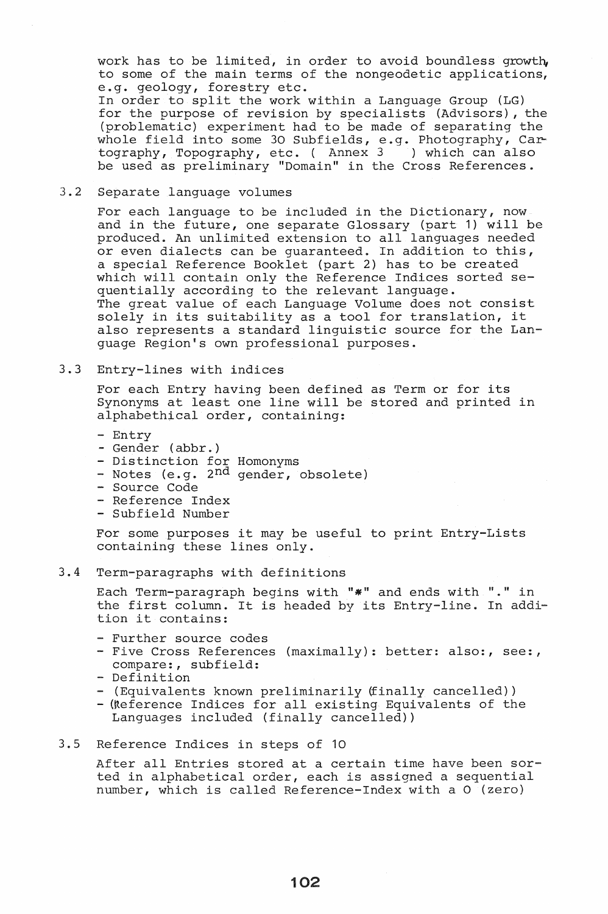work has to be limited, in order to avoid boundless growth, to some of the main terms of the nongeodetic applications, e.g. geology, forestry etc.

In order to split the work within a Language Group (LG) for the purpose of revision by specialists (Advisors), the (problematic) experiment had to be made of separating the whole field into some 30 Subfields, e.g. Photography, Ca~' tography, Topography, etc. ( Annex 3 ) which can also be used as preliminary "Domain" in the Cross References ..

#### 3.2 Separate language volumes

For each language to be included in the Dictionary, now and in the future, one separate Glossary (part **1)** will be and in the rucare, one separate diossary (part 1, with 2008) or even dialects can be guaranteed. In addition to this, a special Reference Booklet (part 2) has to be created which will contain only the Reference Indices sorted sequentially according to the relevant language. The great value of each Language Volume does not consist solely in its suitability as a tool for translation, it also represents a standard linguistic source for the Language Region's own professional purposes.

## 3.3 Entry-lines with indices

For each Entry having been defined as Term or for its Synonyms at least one line will be stored and printed in alphabethical order, containing:

- Entry
- Gender (abbr.)
- Distinction for Homonyms
- Notes (e.g. 2<sup>nd</sup> gender, obsolete)
- Source Code
- Reference Index
- Subfield Number

For some purposes it may be useful to print Entry-Lists containing these lines only.

## 3.4 Term-paragraphs with definitions

Each Term-paragraph begins with "\*" and ends with "." in the first column. It is headed by its Entry-line. In addition it contains:

- Further source codes
- Five Cross References (maximally): better: also:, see:, compare:, subfield:
- Definition
- (Equivalents known preliminarily (finally cancelled))
- (Reference Indices for all existing Equivalents of the Languages included (finally cancelled))

## 3.5 Reference Indices in steps of 10

After all Entries stored at a certain time have been sorted in alphabetical order, each is assigned a sequential number, which is called Reference-Index with a 0 (zero)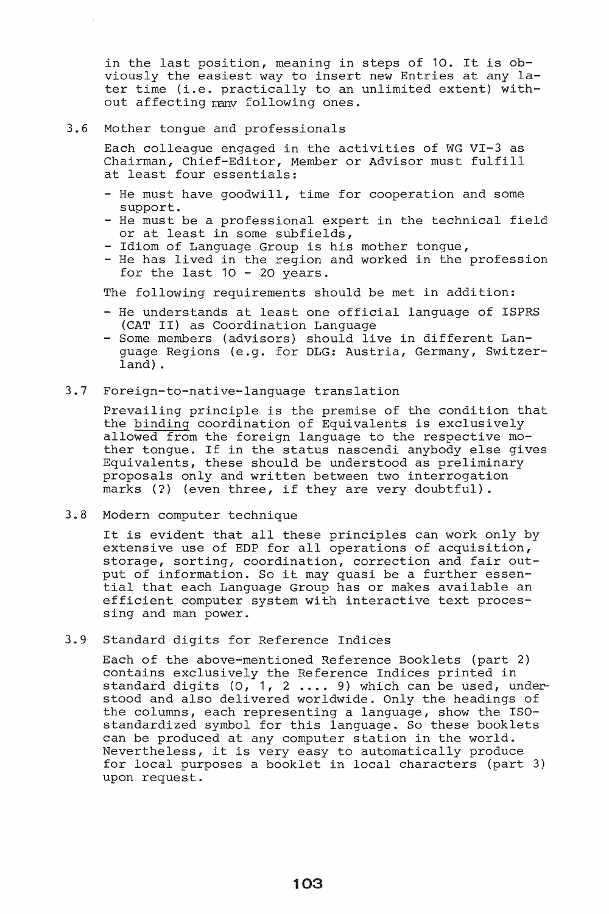in the last position, meaning in steps of 10. It is obviously the easiest way to insert new Entries at any later time (i.e. practically to an unlimited extent) without affecting many following ones.

#### 3.6 Mother tongue and professionals

Each colleague engaged in the activities of WG VI-3 as Chairman, Chief-Editor, Member or Advisor must fulfill at least four essentials:

- He must have goodwill, time for cooperation and some support.
- He must be a professional expert in the technical field or at least in some subfields,
- Idiom of Language Group is his mother tongue,
- He has lived in the region and worked in the profession for the last  $10 - 20$  years.

The following requirements should be met in addition:

- He understands at least one official language of ISPRS (CAT II) as Coordination Language
- Some members (advisors) should live in different Language Regions (e.g. for DLG: Austria, Germany, Switzerland) .

#### 3.7 Foreign-to-native-Ianguage translation

Prevailing principle is the premise of the condition that the binding coordination of Equivalents is exclusively allowed from the foreign language to the respective mother tongue. If in the status nascendi anybody else gives Equivalents, these should be understood as preliminary proposals only and written between two interrogation marks (?) (even three, if they are very doubtful) .

#### 3.8 Modern computer technique

It is evident that all these principles can work only by It is evident that all these principles can work only by extensive use of EDP for all operations of acquisition, storage, sorting, coordination, correction and fair output of information. So it may quasi be a further essential that each Language Group has or makes available an efficient computer system with interactive text processing and man power.

3.9 Standard digits for Reference Indices

Each of the above-mentioned Reference Booklets (part 2) contains exclusively the Reference Indices printed in standard digits (0, 1, 2 .... 9) which can be used, understood and also delivered worldwide. Only the headings of the columns, each representing a language, show the ISOstandardized symbol for this language. So these booklets can be produced at any computer station in the world. Nevertheless, it is very easy to automatically produce for local purposes a booklet in local characters (part 3) upon request.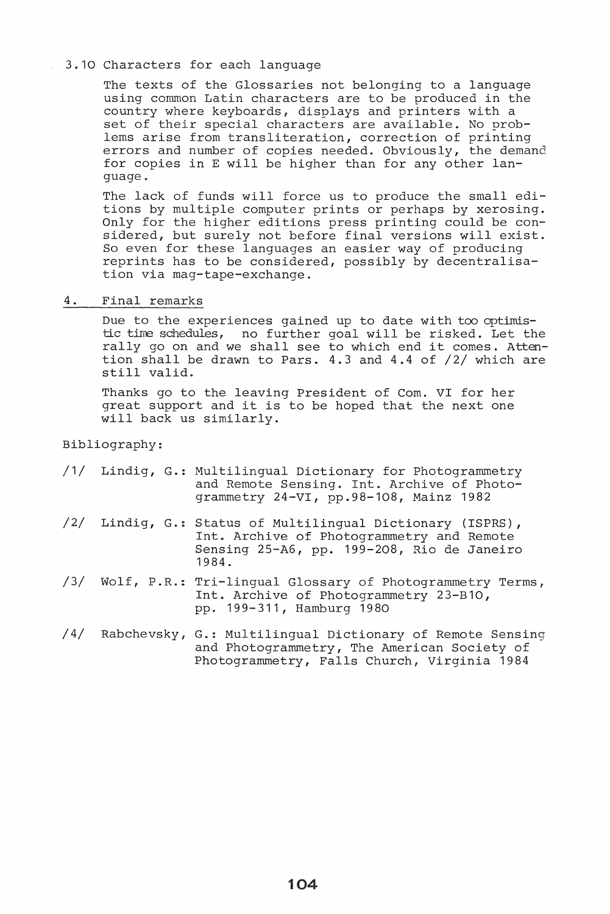## 3.10 Characters for each language

The texts of the Glossaries not belonging to a language using common Latin characters are to be produced in the country where keyboards, displays and printers with a set of their special characters are available. No problems arise from transliteration, correction of printing errors and number of copies needed. Obviously, the demand for copies in E will be higher than for any other language ..

The lack of funds will force us to produce the small editions by multiple computer prints or perhaps by xerosing. Only for the higher editions press printing could be considered, but surely not before final versions will exist. So even for these languages an easier way of producing reprints has to be considered, possibly by decentralisation via mag-tape-exchange.

## 4. Final remarks

Due to the experiences gained up to date with too optimistic time schedules, no further goal will be risked. Let the rally go on and we shall see to which end it comes. Attention shall be drawn to Pars. 4.3 and 4.4 of /2/ which are still valid.

Thanks go to the leaving President of Com. VI for her great support and it is to be hoped that the next one will back us similarly.

Bibliography:

|  | /1/ Lindig, G.: Multilingual Dictionary for Photogrammetry |
|--|------------------------------------------------------------|
|  | and Remote Sensing. Int. Archive of Photo-                 |
|  | grammetry 24-VI, pp.98-108, Mainz 1982                     |

- /2/ Lindig, G.: Status of Multilingual Dictionary (ISPRS), Int. Archive of Photogrammetry and Remote Sensing 25-A6, pp. 199-208, Rio de Janeiro 1984.
- /3/ Wolf, P.R.: Tri-lingual Glossary of Photogrammetry Terms, Int. Archive of Photogrammetry 23-B10, pp. 199-311, Hamburg 1980
- /4/ Rabchevsky, G.: Multilingual Dictionary of Remote Sensing and Photogrammetry, The American Society of Photogrammetry, Falls Church, Virginia 1984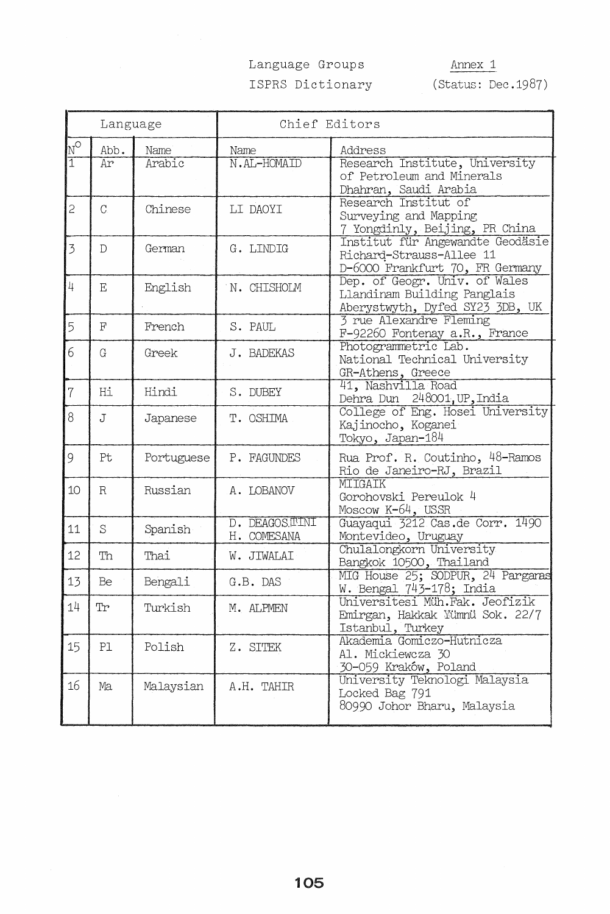# Language Groups ISPRS Dictionary

Annex 1

(Status: Dec.1987)

|                           | Language       |            | Chief Editors                |                                                                                                 |
|---------------------------|----------------|------------|------------------------------|-------------------------------------------------------------------------------------------------|
| $\overline{\psi^{\circ}}$ | Abb.           | Name       | Name                         | Address                                                                                         |
| $\overline{1}$            | Ar             | Arabic     | N.AL-HOMAID                  | Research Institute, University<br>of Petroleum and Minerals<br>Dhahran, Saudi Arabia            |
| $\overline{c}$            | $\overline{C}$ | Chinese    | LI DAOYI                     | Research Institut of<br>Surveying and Mapping<br>7 Yongdinly, Beijing, PR China                 |
| 3                         | $\mathcal{D}$  | German     | $G.$ LINDIG                  | Institut für Angewandte Geodäsie<br>Richard-Strauss-Allee 11<br>D-6000 Frankfurt 70, FR Germany |
| $\frac{1}{4}$             | E              | English    | N. CHISHOLM                  | Dep. of Geogr. Univ. of Wales<br>Llandinam Building Panglais<br>Aberystwyth, Dyfed SY23 3DB, UK |
| 5                         | $_{\rm F}$     | French     | S. PAUL                      | 3 rue Alexandre Fleming<br>F-92260 Fontenay a.R., France                                        |
| 6                         | $\rm G$        | Greek      | J. BADEKAS                   | Photogrammetric Lab.<br>National Technical University<br>GR-Athens, Greece                      |
| $\overline{7}$            | Hi             | Hindi      | S. DUBEY                     | 41, Nashvilla Road<br>Dehra Dun 248001, UP, India                                               |
| 8                         | $\mathbf J$    | Japanese   | T. OSHIMA                    | College of Eng. Hosei University<br>Kajinocho, Koganei<br>Tokyo, Japan-184                      |
| 9                         | Pt             | Portuguese | P. FAGUNDES                  | Rua Prof. R. Coutinho, 48-Ramos<br>Rio de Janeiro-RJ, Brazil                                    |
| 10                        | $\mathbb R$    | Russian    | A. LOBANOV                   | MIIGAIK<br>Gorohovski Pereulok 4<br>Moscow $K-64$ , USSR                                        |
| 11                        | S              | Spanish    | D. DEAGOSTINI<br>H. COMESANA | Guayaqui 3212 Cas.de Corr. 1490<br>Montevideo, Uruguay                                          |
| 12                        | Th             | Thai       | W. JIWALAI                   | Chulalongkorn University<br>Bangkok 10500, Thailand                                             |
| 13                        | Be             | Bengali    | G.B. DAS                     | MIG House 25; SODPUR, 24 Pargaras<br>W. Bengal 743-178; India                                   |
| 14                        | Tr             | Turkish    | M. ALPMEN                    | Universitesi Müh.Fak. Jeofizik<br>Emirgan, Hakkak Yümnü Sok. 22/7<br>Istanbul, Turkey           |
| 15                        | P1             | Polish     | Z. SITEK                     | Akademia Gomiczo-Hutnicza<br>Al. Mickiewcza 30<br>30-059 Kraków, Poland                         |
| 16                        | Ma             | Malaysian  | A.H. TAHIR                   | University Teknologi Malaysia<br>Locked Bag 791<br>80990 Johor Bharu, Malaysia                  |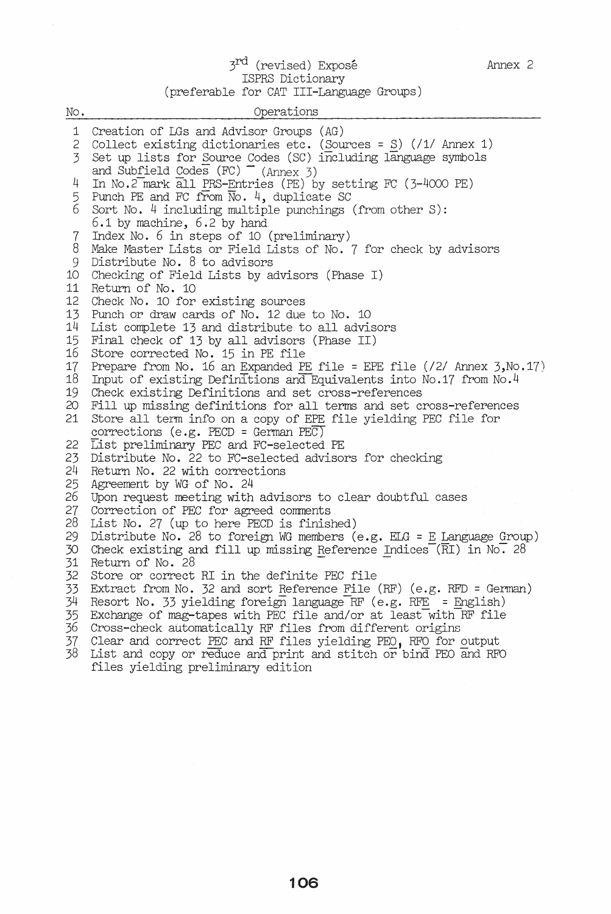## 3<sup>rd</sup> (revised) Exposé ISPRS Dictionary (preferable for CAT III-Language Groups)

| No.      | Operations                                                                                                                |  |  |  |
|----------|---------------------------------------------------------------------------------------------------------------------------|--|--|--|
| 1        | Creation of LGs and Advisor Groups (AG)                                                                                   |  |  |  |
| 2        | Collect existing dictionaries etc. (Sources = $S$ ) (/1/ Annex 1)                                                         |  |  |  |
| 3        | Set up lists for Source Codes (SC) including language symbols<br>and Subfield Codes $(FC)$ (Annex 3)                      |  |  |  |
| 4        | In No.2 mark all PRS-Entries (PE) by setting FC (3-4000 PE)                                                               |  |  |  |
| 5        | Punch PE and FC from $\overline{N}$ o. 4, duplicate SC                                                                    |  |  |  |
| 6        | Sort No. $4$ including multiple punchings (from other S):<br>$6.1$ by machine, $6.2$ by hand                              |  |  |  |
| 7        | Index No. 6 in steps of 10 (preliminary)                                                                                  |  |  |  |
| 8        | Make Master Lists or Field Lists of No. 7 for check by advisors                                                           |  |  |  |
| 9        | Distribute No. 8 to advisors                                                                                              |  |  |  |
| 10<br>11 | Checking of Field Lists by advisors (Phase I)<br>Return of No. 10                                                         |  |  |  |
| 12       | Check No. 10 for existing sources                                                                                         |  |  |  |
| 13       | Punch or draw cards of No. 12 due to No. 10                                                                               |  |  |  |
| 14       | List complete 13 and distribute to all advisors                                                                           |  |  |  |
| 15       | Final check of 13 by all advisors (Phase II)                                                                              |  |  |  |
| 16       | Store corrected No. 15 in PE file                                                                                         |  |  |  |
| 17<br>18 | Prepare from No. 16 an Expanded PE file = EPE file $(2/2)$ Annex 3, No. 17)                                               |  |  |  |
| 19       | Input of existing Definitions and Equivalents into No.17 from No.4<br>Check existing Definitions and set cross-references |  |  |  |
| 20       | Fill up missing definitions for all terms and set cross-references                                                        |  |  |  |
| 21       | Store all term info on a copy of EPE file yielding PEC file for                                                           |  |  |  |
|          | corrections (e.g. PECD = German PEC)                                                                                      |  |  |  |
| 22       | List preliminary PEC and FC-selected PE                                                                                   |  |  |  |
| 23<br>24 | Distribute No. 22 to FC-selected advisors for checking<br>Return No. 22 with corrections                                  |  |  |  |
| 25       | Agreement by WG of No. 24                                                                                                 |  |  |  |
| 26       | Upon request meeting with advisors to clear doubtful cases                                                                |  |  |  |
| 27       | Correction of PEC for agreed comments                                                                                     |  |  |  |
| 28       | List No. 27 (up to here PECD is finished)                                                                                 |  |  |  |
| 29       | Distribute No. 28 to foreign WG members (e.g. $ELG = E$ Language Group)                                                   |  |  |  |
| 30<br>31 | Check existing and fill up missing Reference Indices $(\overline{R}I)$ in No. 28<br>Return of No. 28                      |  |  |  |
| 32       | Store or correct RI in the definite PEC file                                                                              |  |  |  |
| 33       | Extract from No. 32 and sort Reference File (RF) (e.g. RFD = German)                                                      |  |  |  |
| 34       | Resort No. 33 yielding foreign language RF (e.g. RFE = English)                                                           |  |  |  |
| 35       | Exchange of mag-tapes with PEC file and/or at least with RF file                                                          |  |  |  |
| 36       | Cross-check automatically RF files from different origins                                                                 |  |  |  |
| 37       | Clear and correct PEC and RF files yielding PEO, RFO for output                                                           |  |  |  |
| 38       | List and copy or reduce and print and stitch or bind PEO and RFO<br>files yielding preliminary edition                    |  |  |  |
|          |                                                                                                                           |  |  |  |